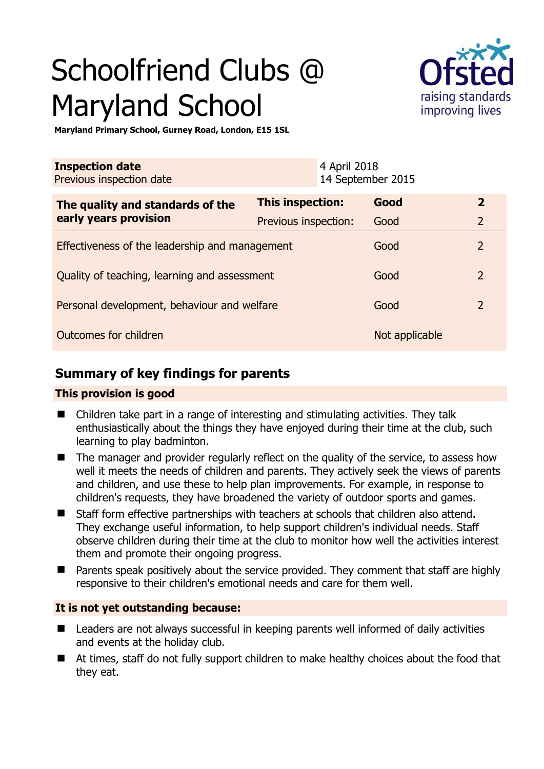# Schoolfriend Clubs @ Maryland School



**Maryland Primary School, Gurney Road, London, E15 1SL** 

| <b>Inspection date</b><br>Previous inspection date        | 4 April 2018         | 14 September 2015 |                |
|-----------------------------------------------------------|----------------------|-------------------|----------------|
| The quality and standards of the<br>early years provision | This inspection:     | Good              | $\overline{2}$ |
|                                                           | Previous inspection: | Good              | $\overline{2}$ |
| Effectiveness of the leadership and management            |                      | Good              | $\overline{2}$ |
| Quality of teaching, learning and assessment              |                      | Good              | $\overline{2}$ |
| Personal development, behaviour and welfare               |                      | Good              | $\overline{2}$ |
| Outcomes for children                                     |                      | Not applicable    |                |

## **Summary of key findings for parents**

### **This provision is good**

- Children take part in a range of interesting and stimulating activities. They talk enthusiastically about the things they have enjoyed during their time at the club, such learning to play badminton.
- The manager and provider regularly reflect on the quality of the service, to assess how well it meets the needs of children and parents. They actively seek the views of parents and children, and use these to help plan improvements. For example, in response to children's requests, they have broadened the variety of outdoor sports and games.
- Staff form effective partnerships with teachers at schools that children also attend. They exchange useful information, to help support children's individual needs. Staff observe children during their time at the club to monitor how well the activities interest them and promote their ongoing progress.
- Parents speak positively about the service provided. They comment that staff are highly responsive to their children's emotional needs and care for them well.

### **It is not yet outstanding because:**

- Leaders are not always successful in keeping parents well informed of daily activities and events at the holiday club.
- At times, staff do not fully support children to make healthy choices about the food that they eat.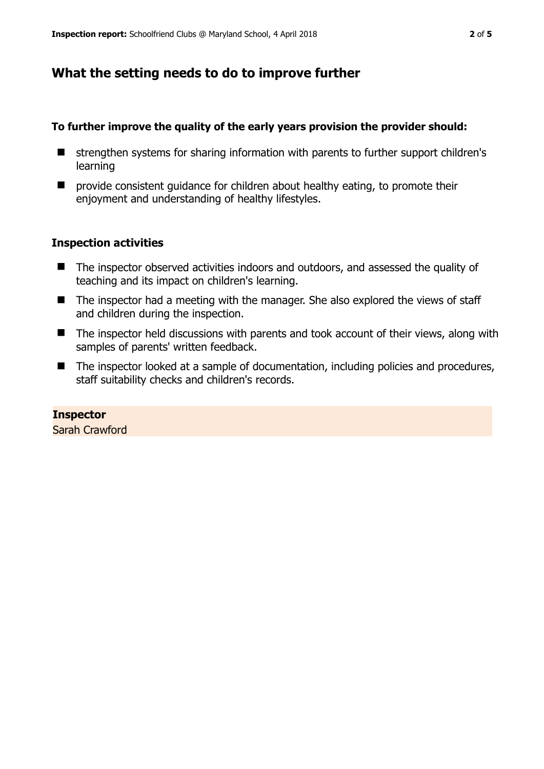## **What the setting needs to do to improve further**

#### **To further improve the quality of the early years provision the provider should:**

- strengthen systems for sharing information with parents to further support children's learning
- $\blacksquare$  provide consistent quidance for children about healthy eating, to promote their enjoyment and understanding of healthy lifestyles.

### **Inspection activities**

- The inspector observed activities indoors and outdoors, and assessed the quality of teaching and its impact on children's learning.
- The inspector had a meeting with the manager. She also explored the views of staff and children during the inspection.
- The inspector held discussions with parents and took account of their views, along with samples of parents' written feedback.
- The inspector looked at a sample of documentation, including policies and procedures, staff suitability checks and children's records.

**Inspector**  Sarah Crawford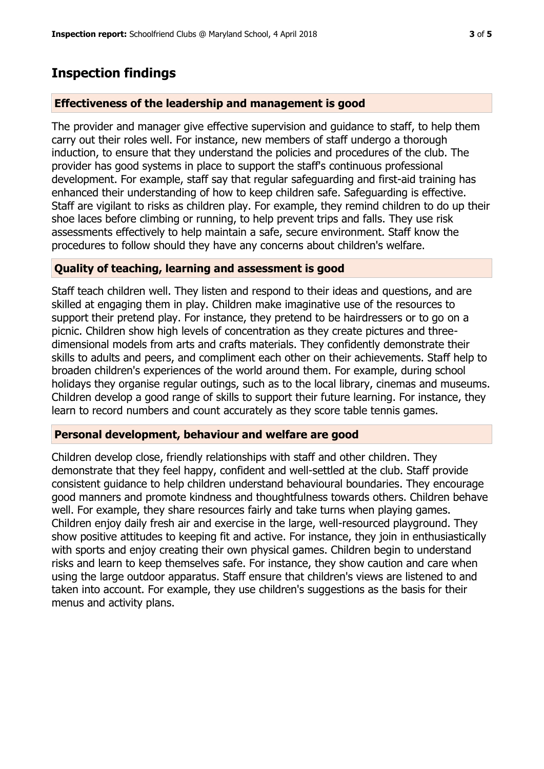## **Inspection findings**

### **Effectiveness of the leadership and management is good**

The provider and manager give effective supervision and guidance to staff, to help them carry out their roles well. For instance, new members of staff undergo a thorough induction, to ensure that they understand the policies and procedures of the club. The provider has good systems in place to support the staff's continuous professional development. For example, staff say that regular safeguarding and first-aid training has enhanced their understanding of how to keep children safe. Safeguarding is effective. Staff are vigilant to risks as children play. For example, they remind children to do up their shoe laces before climbing or running, to help prevent trips and falls. They use risk assessments effectively to help maintain a safe, secure environment. Staff know the procedures to follow should they have any concerns about children's welfare.

### **Quality of teaching, learning and assessment is good**

Staff teach children well. They listen and respond to their ideas and questions, and are skilled at engaging them in play. Children make imaginative use of the resources to support their pretend play. For instance, they pretend to be hairdressers or to go on a picnic. Children show high levels of concentration as they create pictures and threedimensional models from arts and crafts materials. They confidently demonstrate their skills to adults and peers, and compliment each other on their achievements. Staff help to broaden children's experiences of the world around them. For example, during school holidays they organise regular outings, such as to the local library, cinemas and museums. Children develop a good range of skills to support their future learning. For instance, they learn to record numbers and count accurately as they score table tennis games.

#### **Personal development, behaviour and welfare are good**

Children develop close, friendly relationships with staff and other children. They demonstrate that they feel happy, confident and well-settled at the club. Staff provide consistent guidance to help children understand behavioural boundaries. They encourage good manners and promote kindness and thoughtfulness towards others. Children behave well. For example, they share resources fairly and take turns when playing games. Children enjoy daily fresh air and exercise in the large, well-resourced playground. They show positive attitudes to keeping fit and active. For instance, they join in enthusiastically with sports and enjoy creating their own physical games. Children begin to understand risks and learn to keep themselves safe. For instance, they show caution and care when using the large outdoor apparatus. Staff ensure that children's views are listened to and taken into account. For example, they use children's suggestions as the basis for their menus and activity plans.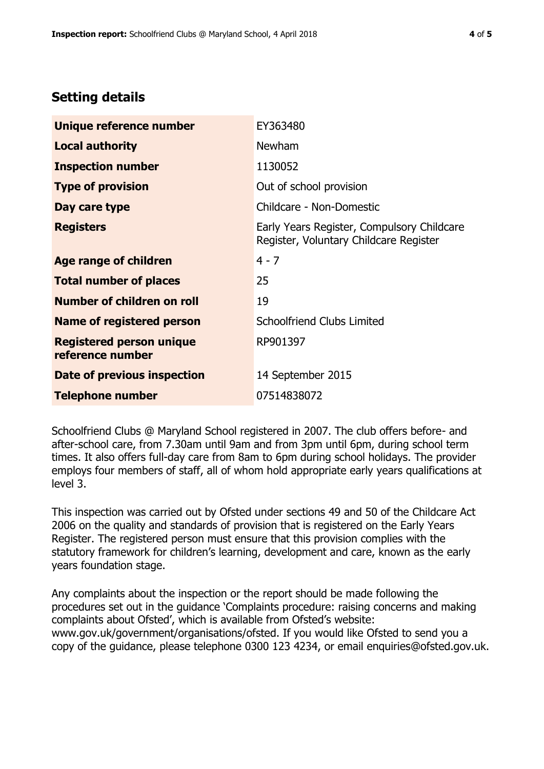## **Setting details**

| Unique reference number                             | EY363480                                                                             |  |
|-----------------------------------------------------|--------------------------------------------------------------------------------------|--|
| <b>Local authority</b>                              | <b>Newham</b>                                                                        |  |
| <b>Inspection number</b>                            | 1130052                                                                              |  |
| <b>Type of provision</b>                            | Out of school provision                                                              |  |
| Day care type                                       | Childcare - Non-Domestic                                                             |  |
| <b>Registers</b>                                    | Early Years Register, Compulsory Childcare<br>Register, Voluntary Childcare Register |  |
| Age range of children                               | $4 - 7$                                                                              |  |
| <b>Total number of places</b>                       | 25                                                                                   |  |
| Number of children on roll                          | 19                                                                                   |  |
| <b>Name of registered person</b>                    | Schoolfriend Clubs Limited                                                           |  |
| <b>Registered person unique</b><br>reference number | RP901397                                                                             |  |
| <b>Date of previous inspection</b>                  | 14 September 2015                                                                    |  |
| <b>Telephone number</b>                             | 07514838072                                                                          |  |

Schoolfriend Clubs @ Maryland School registered in 2007. The club offers before- and after-school care, from 7.30am until 9am and from 3pm until 6pm, during school term times. It also offers full-day care from 8am to 6pm during school holidays. The provider employs four members of staff, all of whom hold appropriate early years qualifications at level 3.

This inspection was carried out by Ofsted under sections 49 and 50 of the Childcare Act 2006 on the quality and standards of provision that is registered on the Early Years Register. The registered person must ensure that this provision complies with the statutory framework for children's learning, development and care, known as the early years foundation stage.

Any complaints about the inspection or the report should be made following the procedures set out in the guidance 'Complaints procedure: raising concerns and making complaints about Ofsted', which is available from Ofsted's website: www.gov.uk/government/organisations/ofsted. If you would like Ofsted to send you a copy of the guidance, please telephone 0300 123 4234, or email enquiries@ofsted.gov.uk.